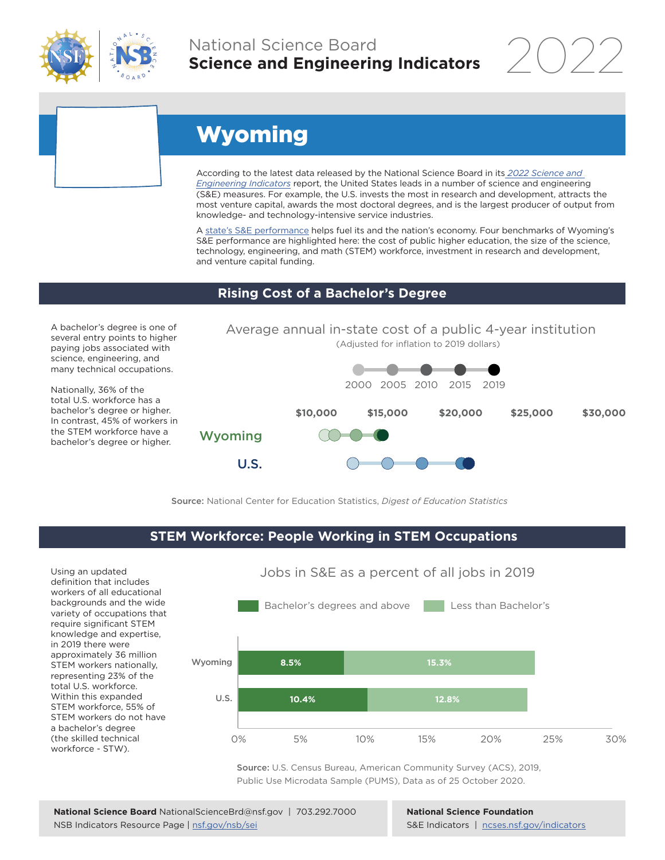

# National Science Board **Science and Engineering Indicators**

2022

# Wyoming

According to the latest data released by the National Science Board in its *[2022 Science and](https://www.ncses.nsf.gov/indicators)  [Engineering Indicators](https://www.ncses.nsf.gov/indicators)* report, the United States leads in a number of science and engineering (S&E) measures. For example, the U.S. invests the most in research and development, attracts the most venture capital, awards the most doctoral degrees, and is the largest producer of output from knowledge- and technology-intensive service industries.

A state's S&E performance helps fuel its and the nation's economy. Four benchmarks of Wyoming's S&E performance are highlighted here: the cost of public higher education, the size of the science, technology, engineering, and math (STEM) workforce, investment in research and development, and venture capital funding.

## **Rising Cost of a Bachelor's Degree**

A bachelor's degree is one of several entry points to higher paying jobs associated with science, engineering, and many technical occupations.

Nationally, 36% of the total U.S. workforce has a bachelor's degree or higher. In contrast, 45% of workers in the STEM workforce have a bachelor's degree or higher.



Source: National Center for Education Statistics, *Digest of Education Statistics*

#### **STEM Workforce: People Working in STEM Occupations**

Using an updated definition that includes workers of all educational backgrounds and the wide variety of occupations that require significant STEM knowledge and expertise, in 2019 there were approximately 36 million STEM workers nationally, representing 23% of the total U.S. workforce. Within this expanded STEM workforce, 55% of STEM workers do not have a bachelor's degree (the skilled technical workforce - STW).



Source: U.S. Census Bureau, American Community Survey (ACS), 2019, Public Use Microdata Sample (PUMS), Data as of 25 October 2020.

**National Science Foundation** S&E Indicators | [ncses.nsf.gov/indicators](https://www.ncses.nsf.gov/indicators)

## Jobs in S&E as a percent of all jobs in 2019